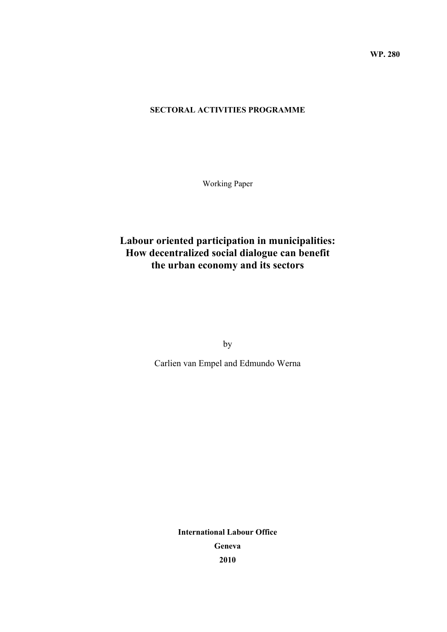**WP. 280** 

### **SECTORAL ACTIVITIES PROGRAMME**

Working Paper

## **Labour oriented participation in municipalities: How decentralized social dialogue can benefit the urban economy and its sectors**

by

Carlien van Empel and Edmundo Werna

**International Labour Office Geneva 2010**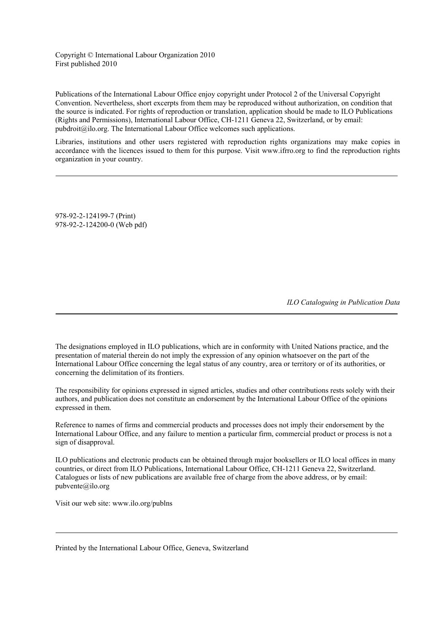Copyright © International Labour Organization 2010 First published 2010

Publications of the International Labour Office enjoy copyright under Protocol 2 of the Universal Copyright Convention. Nevertheless, short excerpts from them may be reproduced without authorization, on condition that the source is indicated. For rights of reproduction or translation, application should be made to ILO Publications (Rights and Permissions), International Labour Office, CH-1211 Geneva 22, Switzerland, or by email:  $public, org. The International Laboratory, Office, we can use the applications.$ 

Libraries, institutions and other users registered with reproduction rights organizations may make copies in accordance with the licences issued to them for this purpose. Visit www.ifrro.org to find the reproduction rights organization in your country.

978-92-2-124199-7 (Print) 978-92-2-124200-0 (Web pdf)

*ILO Cataloguing in Publication Data*

The designations employed in ILO publications, which are in conformity with United Nations practice, and the presentation of material therein do not imply the expression of any opinion whatsoever on the part of the International Labour Office concerning the legal status of any country, area or territory or of its authorities, or concerning the delimitation of its frontiers.

The responsibility for opinions expressed in signed articles, studies and other contributions rests solely with their authors, and publication does not constitute an endorsement by the International Labour Office of the opinions expressed in them.

Reference to names of firms and commercial products and processes does not imply their endorsement by the International Labour Office, and any failure to mention a particular firm, commercial product or process is not a sign of disapproval.

ILO publications and electronic products can be obtained through major booksellers or ILO local offices in many countries, or direct from ILO Publications, International Labour Office, CH-1211 Geneva 22, Switzerland. Catalogues or lists of new publications are available free of charge from the above address, or by email: pubvente@ilo.org

Visit our web site: www.ilo.org/publns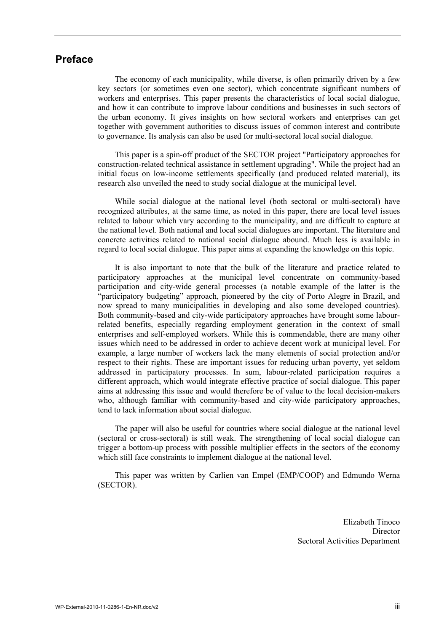### **Preface**

The economy of each municipality, while diverse, is often primarily driven by a few key sectors (or sometimes even one sector), which concentrate significant numbers of workers and enterprises. This paper presents the characteristics of local social dialogue, and how it can contribute to improve labour conditions and businesses in such sectors of the urban economy. It gives insights on how sectoral workers and enterprises can get together with government authorities to discuss issues of common interest and contribute to governance. Its analysis can also be used for multi-sectoral local social dialogue.

This paper is a spin-off product of the SECTOR project "Participatory approaches for construction-related technical assistance in settlement upgrading". While the project had an initial focus on low-income settlements specifically (and produced related material), its research also unveiled the need to study social dialogue at the municipal level.

While social dialogue at the national level (both sectoral or multi-sectoral) have recognized attributes, at the same time, as noted in this paper, there are local level issues related to labour which vary according to the municipality, and are difficult to capture at the national level. Both national and local social dialogues are important. The literature and concrete activities related to national social dialogue abound. Much less is available in regard to local social dialogue. This paper aims at expanding the knowledge on this topic.

It is also important to note that the bulk of the literature and practice related to participatory approaches at the municipal level concentrate on community-based participation and city-wide general processes (a notable example of the latter is the "participatory budgeting" approach, pioneered by the city of Porto Alegre in Brazil, and now spread to many municipalities in developing and also some developed countries). Both community-based and city-wide participatory approaches have brought some labourrelated benefits, especially regarding employment generation in the context of small enterprises and self-employed workers. While this is commendable, there are many other issues which need to be addressed in order to achieve decent work at municipal level. For example, a large number of workers lack the many elements of social protection and/or respect to their rights. These are important issues for reducing urban poverty, yet seldom addressed in participatory processes. In sum, labour-related participation requires a different approach, which would integrate effective practice of social dialogue. This paper aims at addressing this issue and would therefore be of value to the local decision-makers who, although familiar with community-based and city-wide participatory approaches, tend to lack information about social dialogue.

The paper will also be useful for countries where social dialogue at the national level (sectoral or cross-sectoral) is still weak. The strengthening of local social dialogue can trigger a bottom-up process with possible multiplier effects in the sectors of the economy which still face constraints to implement dialogue at the national level.

This paper was written by Carlien van Empel (EMP/COOP) and Edmundo Werna (SECTOR).

> Elizabeth Tinoco **Director** Sectoral Activities Department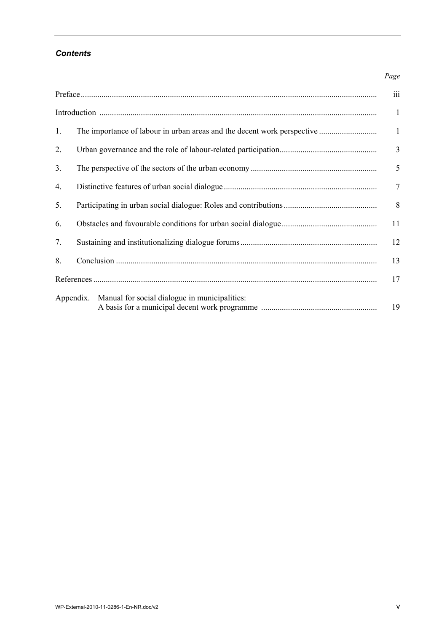### *Contents*

|    |  |                                                         | iii            |
|----|--|---------------------------------------------------------|----------------|
|    |  |                                                         | $\overline{1}$ |
| 1. |  |                                                         | $\overline{1}$ |
| 2. |  |                                                         | 3              |
| 3. |  |                                                         | 5              |
| 4. |  |                                                         | $\overline{7}$ |
| 5. |  |                                                         | 8              |
| 6. |  |                                                         | 11             |
| 7. |  |                                                         | 12             |
| 8. |  |                                                         | 13             |
|    |  |                                                         | 17             |
|    |  | Appendix. Manual for social dialogue in municipalities: | 19             |

*Page*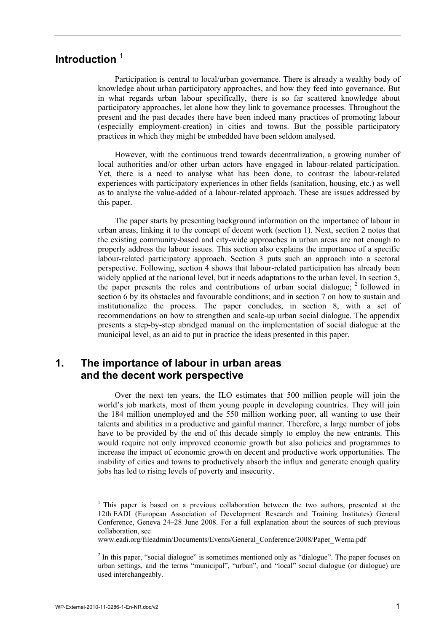## **Introduction** <sup>1</sup>

Participation is central to local/urban governance. There is already a wealthy body of knowledge about urban participatory approaches, and how they feed into governance. But in what regards urban labour specifically, there is so far scattered knowledge about participatory approaches, let alone how they link to governance processes. Throughout the present and the past decades there have been indeed many practices of promoting labour (especially employment-creation) in cities and towns. But the possible participatory practices in which they might be embedded have been seldom analysed.

However, with the continuous trend towards decentralization, a growing number of local authorities and/or other urban actors have engaged in labour-related participation. Yet, there is a need to analyse what has been done, to contrast the labour-related experiences with participatory experiences in other fields (sanitation, housing, etc.) as well as to analyse the value-added of a labour-related approach. These are issues addressed by this paper.

The paper starts by presenting background information on the importance of labour in urban areas, linking it to the concept of decent work (section 1). Next, section 2 notes that the existing community-based and city-wide approaches in urban areas are not enough to properly address the labour issues. This section also explains the importance of a specific labour-related participatory approach. Section 3 puts such an approach into a sectoral perspective. Following, section 4 shows that labour-related participation has already been widely applied at the national level, but it needs adaptations to the urban level. In section 5, the paper presents the roles and contributions of urban social dialogue;  $2$  followed in section 6 by its obstacles and favourable conditions; and in section 7 on how to sustain and institutionalize the process. The paper concludes, in section 8, with a set of recommendations on how to strengthen and scale-up urban social dialogue. The appendix presents a step-by-step abridged manual on the implementation of social dialogue at the municipal level, as an aid to put in practice the ideas presented in this paper.

### **1. The importance of labour in urban areas and the decent work perspective**

Over the next ten years, the ILO estimates that 500 million people will join the world's job markets, most of them young people in developing countries. They will join the 184 million unemployed and the 550 million working poor, all wanting to use their talents and abilities in a productive and gainful manner. Therefore, a large number of jobs have to be provided by the end of this decade simply to employ the new entrants. This would require not only improved economic growth but also policies and programmes to increase the impact of economic growth on decent and productive work opportunities. The inability of cities and towns to productively absorb the influx and generate enough quality jobs has led to rising levels of poverty and insecurity.

www.eadi.org/fileadmin/Documents/Events/General\_Conference/2008/Paper\_Werna.pdf

 $1$  This paper is based on a previous collaboration between the two authors, presented at the 12th EADI (European Association of Development Research and Training Institutes) General Conference, Geneva 24–28 June 2008. For a full explanation about the sources of such previous collaboration, see

 $2$  In this paper, "social dialogue" is sometimes mentioned only as "dialogue". The paper focuses on urban settings, and the terms "municipal", "urban", and "local" social dialogue (or dialogue) are used interchangeably.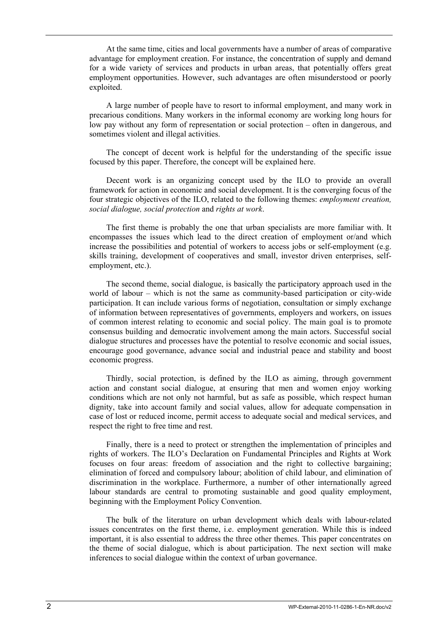At the same time, cities and local governments have a number of areas of comparative advantage for employment creation. For instance, the concentration of supply and demand for a wide variety of services and products in urban areas, that potentially offers great employment opportunities. However, such advantages are often misunderstood or poorly exploited.

A large number of people have to resort to informal employment, and many work in precarious conditions. Many workers in the informal economy are working long hours for low pay without any form of representation or social protection – often in dangerous, and sometimes violent and illegal activities.

The concept of decent work is helpful for the understanding of the specific issue focused by this paper. Therefore, the concept will be explained here.

Decent work is an organizing concept used by the ILO to provide an overall framework for action in economic and social development. It is the converging focus of the four strategic objectives of the ILO, related to the following themes: *employment creation, social dialogue, social protection* and *rights at work*.

The first theme is probably the one that urban specialists are more familiar with. It encompasses the issues which lead to the direct creation of employment or/and which increase the possibilities and potential of workers to access jobs or self-employment (e.g. skills training, development of cooperatives and small, investor driven enterprises, selfemployment, etc.).

The second theme, social dialogue, is basically the participatory approach used in the world of labour – which is not the same as community-based participation or city-wide participation. It can include various forms of negotiation, consultation or simply exchange of information between representatives of governments, employers and workers, on issues of common interest relating to economic and social policy. The main goal is to promote consensus building and democratic involvement among the main actors. Successful social dialogue structures and processes have the potential to resolve economic and social issues, encourage good governance, advance social and industrial peace and stability and boost economic progress.

Thirdly, social protection, is defined by the ILO as aiming, through government action and constant social dialogue, at ensuring that men and women enjoy working conditions which are not only not harmful, but as safe as possible, which respect human dignity, take into account family and social values, allow for adequate compensation in case of lost or reduced income, permit access to adequate social and medical services, and respect the right to free time and rest.

Finally, there is a need to protect or strengthen the implementation of principles and rights of workers. The ILO's Declaration on Fundamental Principles and Rights at Work focuses on four areas: freedom of association and the right to collective bargaining; elimination of forced and compulsory labour; abolition of child labour, and elimination of discrimination in the workplace. Furthermore, a number of other internationally agreed labour standards are central to promoting sustainable and good quality employment, beginning with the Employment Policy Convention.

The bulk of the literature on urban development which deals with labour-related issues concentrates on the first theme, i.e. employment generation. While this is indeed important, it is also essential to address the three other themes. This paper concentrates on the theme of social dialogue, which is about participation. The next section will make inferences to social dialogue within the context of urban governance.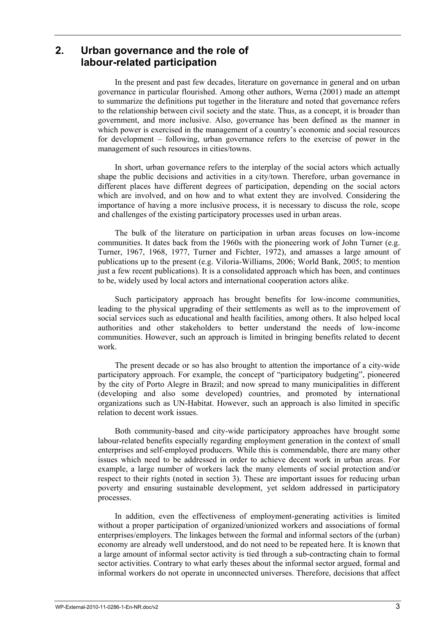### **2. Urban governance and the role of labour-related participation**

In the present and past few decades, literature on governance in general and on urban governance in particular flourished. Among other authors, Werna (2001) made an attempt to summarize the definitions put together in the literature and noted that governance refers to the relationship between civil society and the state. Thus, as a concept, it is broader than government, and more inclusive. Also, governance has been defined as the manner in which power is exercised in the management of a country's economic and social resources for development – following, urban governance refers to the exercise of power in the management of such resources in cities/towns.

In short, urban governance refers to the interplay of the social actors which actually shape the public decisions and activities in a city/town. Therefore, urban governance in different places have different degrees of participation, depending on the social actors which are involved, and on how and to what extent they are involved. Considering the importance of having a more inclusive process, it is necessary to discuss the role, scope and challenges of the existing participatory processes used in urban areas.

The bulk of the literature on participation in urban areas focuses on low-income communities. It dates back from the 1960s with the pioneering work of John Turner (e.g. Turner, 1967, 1968, 1977, Turner and Fichter, 1972), and amasses a large amount of publications up to the present (e.g. Viloria-Williams, 2006; World Bank, 2005; to mention just a few recent publications). It is a consolidated approach which has been, and continues to be, widely used by local actors and international cooperation actors alike.

Such participatory approach has brought benefits for low-income communities, leading to the physical upgrading of their settlements as well as to the improvement of social services such as educational and health facilities, among others. It also helped local authorities and other stakeholders to better understand the needs of low-income communities. However, such an approach is limited in bringing benefits related to decent work.

The present decade or so has also brought to attention the importance of a city-wide participatory approach. For example, the concept of "participatory budgeting", pioneered by the city of Porto Alegre in Brazil; and now spread to many municipalities in different (developing and also some developed) countries, and promoted by international organizations such as UN-Habitat. However, such an approach is also limited in specific relation to decent work issues.

Both community-based and city-wide participatory approaches have brought some labour-related benefits especially regarding employment generation in the context of small enterprises and self-employed producers. While this is commendable, there are many other issues which need to be addressed in order to achieve decent work in urban areas. For example, a large number of workers lack the many elements of social protection and/or respect to their rights (noted in section 3). These are important issues for reducing urban poverty and ensuring sustainable development, yet seldom addressed in participatory processes.

In addition, even the effectiveness of employment-generating activities is limited without a proper participation of organized/unionized workers and associations of formal enterprises/employers. The linkages between the formal and informal sectors of the (urban) economy are already well understood, and do not need to be repeated here. It is known that a large amount of informal sector activity is tied through a sub-contracting chain to formal sector activities. Contrary to what early theses about the informal sector argued, formal and informal workers do not operate in unconnected universes. Therefore, decisions that affect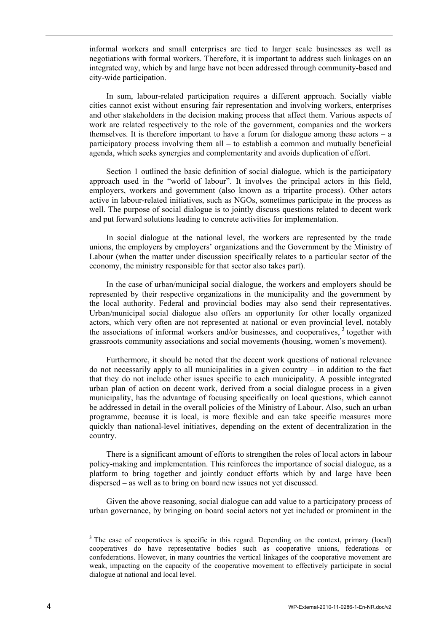informal workers and small enterprises are tied to larger scale businesses as well as negotiations with formal workers. Therefore, it is important to address such linkages on an integrated way, which by and large have not been addressed through community-based and city-wide participation.

In sum, labour-related participation requires a different approach. Socially viable cities cannot exist without ensuring fair representation and involving workers, enterprises and other stakeholders in the decision making process that affect them. Various aspects of work are related respectively to the role of the government, companies and the workers themselves. It is therefore important to have a forum for dialogue among these actors  $-$  a participatory process involving them all – to establish a common and mutually beneficial agenda, which seeks synergies and complementarity and avoids duplication of effort.

Section 1 outlined the basic definition of social dialogue, which is the participatory approach used in the "world of labour". It involves the principal actors in this field, employers, workers and government (also known as a tripartite process). Other actors active in labour-related initiatives, such as NGOs, sometimes participate in the process as well. The purpose of social dialogue is to jointly discuss questions related to decent work and put forward solutions leading to concrete activities for implementation.

In social dialogue at the national level, the workers are represented by the trade unions, the employers by employers' organizations and the Government by the Ministry of Labour (when the matter under discussion specifically relates to a particular sector of the economy, the ministry responsible for that sector also takes part).

In the case of urban/municipal social dialogue, the workers and employers should be represented by their respective organizations in the municipality and the government by the local authority. Federal and provincial bodies may also send their representatives. Urban/municipal social dialogue also offers an opportunity for other locally organized actors, which very often are not represented at national or even provincial level, notably the associations of informal workers and/or businesses, and cooperatives, <sup>3</sup> together with grassroots community associations and social movements (housing, women's movement).

Furthermore, it should be noted that the decent work questions of national relevance do not necessarily apply to all municipalities in a given country  $-$  in addition to the fact that they do not include other issues specific to each municipality. A possible integrated urban plan of action on decent work, derived from a social dialogue process in a given municipality, has the advantage of focusing specifically on local questions, which cannot be addressed in detail in the overall policies of the Ministry of Labour. Also, such an urban programme, because it is local, is more flexible and can take specific measures more quickly than national-level initiatives, depending on the extent of decentralization in the country.

There is a significant amount of efforts to strengthen the roles of local actors in labour policy-making and implementation. This reinforces the importance of social dialogue, as a platform to bring together and jointly conduct efforts which by and large have been dispersed – as well as to bring on board new issues not yet discussed.

Given the above reasoning, social dialogue can add value to a participatory process of urban governance, by bringing on board social actors not yet included or prominent in the

 $3$  The case of cooperatives is specific in this regard. Depending on the context, primary (local) cooperatives do have representative bodies such as cooperative unions, federations or confederations. However, in many countries the vertical linkages of the cooperative movement are weak, impacting on the capacity of the cooperative movement to effectively participate in social dialogue at national and local level.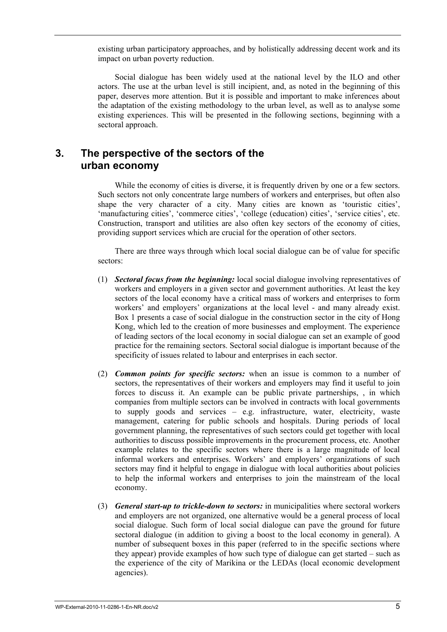existing urban participatory approaches, and by holistically addressing decent work and its impact on urban poverty reduction.

Social dialogue has been widely used at the national level by the ILO and other actors. The use at the urban level is still incipient, and, as noted in the beginning of this paper, deserves more attention. But it is possible and important to make inferences about the adaptation of the existing methodology to the urban level, as well as to analyse some existing experiences. This will be presented in the following sections, beginning with a sectoral approach.

### **3. The perspective of the sectors of the urban economy**

While the economy of cities is diverse, it is frequently driven by one or a few sectors. Such sectors not only concentrate large numbers of workers and enterprises, but often also shape the very character of a city. Many cities are known as 'touristic cities', 'manufacturing cities', 'commerce cities', 'college (education) cities', 'service cities', etc. Construction, transport and utilities are also often key sectors of the economy of cities, providing support services which are crucial for the operation of other sectors.

There are three ways through which local social dialogue can be of value for specific sectors:

- (1) *Sectoral focus from the beginning:* local social dialogue involving representatives of workers and employers in a given sector and government authorities. At least the key sectors of the local economy have a critical mass of workers and enterprises to form workers' and employers' organizations at the local level - and many already exist. Box 1 presents a case of social dialogue in the construction sector in the city of Hong Kong, which led to the creation of more businesses and employment. The experience of leading sectors of the local economy in social dialogue can set an example of good practice for the remaining sectors. Sectoral social dialogue is important because of the specificity of issues related to labour and enterprises in each sector.
- (2) *Common points for specific sectors:* when an issue is common to a number of sectors, the representatives of their workers and employers may find it useful to join forces to discuss it. An example can be public private partnerships, , in which companies from multiple sectors can be involved in contracts with local governments to supply goods and services – e.g. infrastructure, water, electricity, waste management, catering for public schools and hospitals. During periods of local government planning, the representatives of such sectors could get together with local authorities to discuss possible improvements in the procurement process, etc. Another example relates to the specific sectors where there is a large magnitude of local informal workers and enterprises. Workers' and employers' organizations of such sectors may find it helpful to engage in dialogue with local authorities about policies to help the informal workers and enterprises to join the mainstream of the local economy.
- (3) *General start-up to trickle-down to sectors:* in municipalities where sectoral workers and employers are not organized, one alternative would be a general process of local social dialogue. Such form of local social dialogue can pave the ground for future sectoral dialogue (in addition to giving a boost to the local economy in general). A number of subsequent boxes in this paper (referred to in the specific sections where they appear) provide examples of how such type of dialogue can get started – such as the experience of the city of Marikina or the LEDAs (local economic development agencies).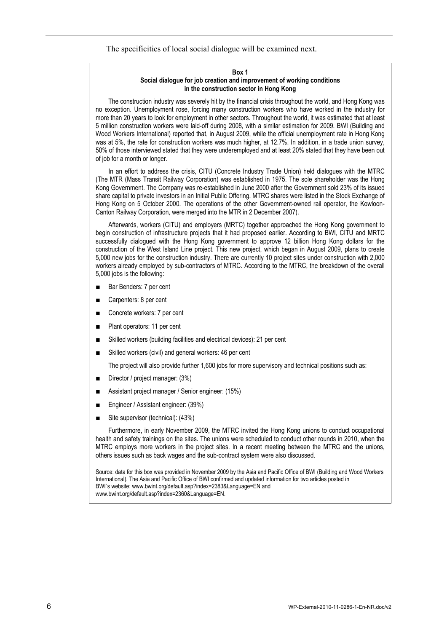The specificities of local social dialogue will be examined next.

#### **Box 1 Social dialogue for job creation and improvement of working conditions in the construction sector in Hong Kong**

The construction industry was severely hit by the financial crisis throughout the world, and Hong Kong was no exception. Unemployment rose, forcing many construction workers who have worked in the industry for more than 20 years to look for employment in other sectors. Throughout the world, it was estimated that at least 5 million construction workers were laid-off during 2008, with a similar estimation for 2009. BWI (Building and Wood Workers International) reported that, in August 2009, while the official unemployment rate in Hong Kong was at 5%, the rate for construction workers was much higher, at 12.7%. In addition, in a trade union survey, 50% of those interviewed stated that they were underemployed and at least 20% stated that they have been out of job for a month or longer.

In an effort to address the crisis, CITU (Concrete Industry Trade Union) held dialogues with the MTRC (The MTR (Mass Transit Railway Corporation) was established in 1975. The sole shareholder was the Hong Kong Government. The Company was re-established in June 2000 after the Government sold 23% of its issued share capital to private investors in an Initial Public Offering. MTRC shares were listed in the Stock Exchange of Hong Kong on 5 October 2000. The operations of the other Government-owned rail operator, the Kowloon-Canton Railway Corporation, were merged into the MTR in 2 December 2007).

Afterwards, workers (CITU) and employers (MRTC) together approached the Hong Kong government to begin construction of infrastructure projects that it had proposed earlier. According to BWI, CITU and MRTC successfully dialogued with the Hong Kong government to approve 12 billion Hong Kong dollars for the construction of the West Island Line project. This new project, which began in August 2009, plans to create 5,000 new jobs for the construction industry. There are currently 10 project sites under construction with 2,000 workers already employed by sub-contractors of MTRC. According to the MTRC, the breakdown of the overall 5,000 jobs is the following:

- Bar Benders: 7 per cent
- Carpenters: 8 per cent
- Concrete workers: 7 per cent
- Plant operators: 11 per cent
- Skilled workers (building facilities and electrical devices): 21 per cent
- Skilled workers (civil) and general workers: 46 per cent

The project will also provide further 1,600 jobs for more supervisory and technical positions such as:

- Director / project manager: (3%)
- Assistant project manager / Senior engineer: (15%)
- Engineer / Assistant engineer: (39%)
- Site supervisor (technical): (43%)

Furthermore, in early November 2009, the MTRC invited the Hong Kong unions to conduct occupational health and safety trainings on the sites. The unions were scheduled to conduct other rounds in 2010, when the MTRC employs more workers in the project sites. In a recent meeting between the MTRC and the unions, others issues such as back wages and the sub-contract system were also discussed.

Source: data for this box was provided in November 2009 by the Asia and Pacific Office of BWI (Building and Wood Workers International). The Asia and Pacific Office of BWI confirmed and updated information for two articles posted in BWI´s website: www.bwint.org/default.asp?index=2383&Language=EN and www.bwint.org/default.asp?index=2360&Language=EN.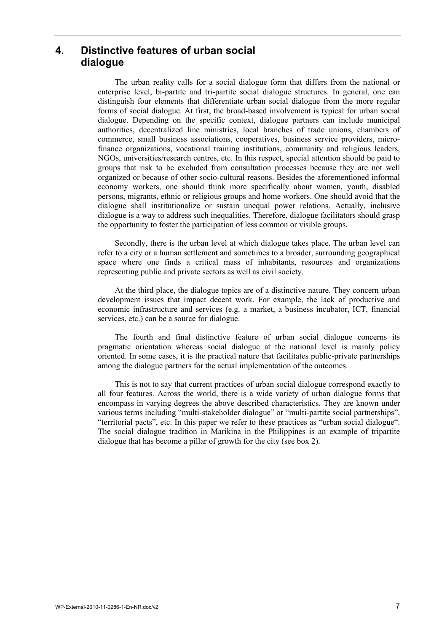### **4. Distinctive features of urban social dialogue**

The urban reality calls for a social dialogue form that differs from the national or enterprise level, bi-partite and tri-partite social dialogue structures. In general, one can distinguish four elements that differentiate urban social dialogue from the more regular forms of social dialogue. At first, the broad-based involvement is typical for urban social dialogue. Depending on the specific context, dialogue partners can include municipal authorities, decentralized line ministries, local branches of trade unions, chambers of commerce, small business associations, cooperatives, business service providers, microfinance organizations, vocational training institutions, community and religious leaders, NGOs, universities/research centres, etc. In this respect, special attention should be paid to groups that risk to be excluded from consultation processes because they are not well organized or because of other socio-cultural reasons. Besides the aforementioned informal economy workers, one should think more specifically about women, youth, disabled persons, migrants, ethnic or religious groups and home workers. One should avoid that the dialogue shall institutionalize or sustain unequal power relations. Actually, inclusive dialogue is a way to address such inequalities. Therefore, dialogue facilitators should grasp the opportunity to foster the participation of less common or visible groups.

Secondly, there is the urban level at which dialogue takes place. The urban level can refer to a city or a human settlement and sometimes to a broader, surrounding geographical space where one finds a critical mass of inhabitants, resources and organizations representing public and private sectors as well as civil society.

At the third place, the dialogue topics are of a distinctive nature. They concern urban development issues that impact decent work. For example, the lack of productive and economic infrastructure and services (e.g. a market, a business incubator, ICT, financial services, etc.) can be a source for dialogue.

The fourth and final distinctive feature of urban social dialogue concerns its pragmatic orientation whereas social dialogue at the national level is mainly policy oriented. In some cases, it is the practical nature that facilitates public-private partnerships among the dialogue partners for the actual implementation of the outcomes.

This is not to say that current practices of urban social dialogue correspond exactly to all four features. Across the world, there is a wide variety of urban dialogue forms that encompass in varying degrees the above described characteristics. They are known under various terms including "multi-stakeholder dialogue" or "multi-partite social partnerships", "territorial pacts", etc. In this paper we refer to these practices as "urban social dialogue". The social dialogue tradition in Marikina in the Philippines is an example of tripartite dialogue that has become a pillar of growth for the city (see box 2).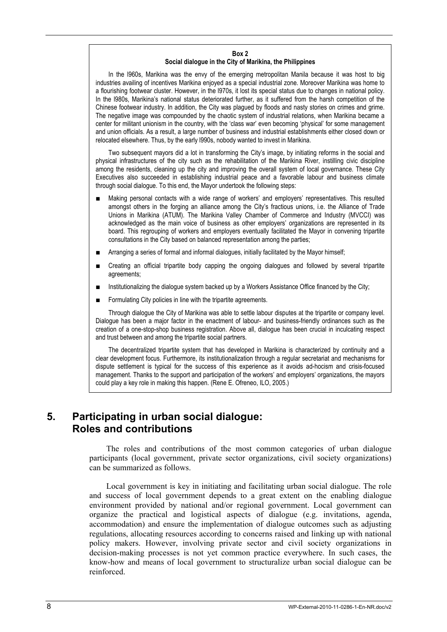#### **Box 2 Social dialogue in the City of Marikina, the Philippines**

In the l960s, Marikina was the envy of the emerging metropolitan Manila because it was host to big industries availing of incentives Marikina enjoyed as a special industrial zone. Moreover Marikina was home to a flourishing footwear cluster. However, in the l970s, it lost its special status due to changes in national policy. In the l980s, Marikina's national status deteriorated further, as it suffered from the harsh competition of the Chinese footwear industry. In addition, the City was plagued by floods and nasty stories on crimes and grime. The negative image was compounded by the chaotic system of industrial relations, when Marikina became a center for militant unionism in the country, with the 'class war' even becoming 'physical' for some management and union officials. As a result, a large number of business and industrial establishments either closed down or relocated elsewhere. Thus, by the early l990s, nobody wanted to invest in Marikina.

Two subsequent mayors did a lot in transforming the City's image, by initiating reforms in the social and physical infrastructures of the city such as the rehabilitation of the Marikina River, instilling civic discipline among the residents, cleaning up the city and improving the overall system of local governance. These City Executives also succeeded in establishing industrial peace and a favorable labour and business climate through social dialogue. To this end, the Mayor undertook the following steps:

- Making personal contacts with a wide range of workers' and employers' representatives. This resulted amongst others in the forging an alliance among the City's fractious unions, i.e. the Alliance of Trade Unions in Marikina (ATUM). The Marikina Valley Chamber of Commerce and Industry (MVCCI) was acknowledged as the main voice of business as other employers' organizations are represented in its board. This regrouping of workers and employers eventually facilitated the Mayor in convening tripartite consultations in the City based on balanced representation among the parties;
- Arranging a series of formal and informal dialogues, initially facilitated by the Mayor himself;
- Creating an official tripartite body capping the ongoing dialogues and followed by several tripartite agreements;
- Institutionalizing the dialogue system backed up by a Workers Assistance Office financed by the City;
- Formulating City policies in line with the tripartite agreements.

Through dialogue the City of Marikina was able to settle labour disputes at the tripartite or company level. Dialogue has been a major factor in the enactment of labour- and business-friendly ordinances such as the creation of a one-stop-shop business registration. Above all, dialogue has been crucial in inculcating respect and trust between and among the tripartite social partners.

The decentralized tripartite system that has developed in Marikina is characterized by continuity and a clear development focus. Furthermore, its institutionalization through a regular secretariat and mechanisms for dispute settlement is typical for the success of this experience as it avoids ad-hocism and crisis-focused management. Thanks to the support and participation of the workers' and employers' organizations, the mayors could play a key role in making this happen. (Rene E. Ofreneo, ILO, 2005.)

## **5. Participating in urban social dialogue: Roles and contributions**

The roles and contributions of the most common categories of urban dialogue participants (local government, private sector organizations, civil society organizations) can be summarized as follows.

Local government is key in initiating and facilitating urban social dialogue. The role and success of local government depends to a great extent on the enabling dialogue environment provided by national and/or regional government. Local government can organize the practical and logistical aspects of dialogue (e.g. invitations, agenda, accommodation) and ensure the implementation of dialogue outcomes such as adjusting regulations, allocating resources according to concerns raised and linking up with national policy makers. However, involving private sector and civil society organizations in decision-making processes is not yet common practice everywhere. In such cases, the know-how and means of local government to structuralize urban social dialogue can be reinforced.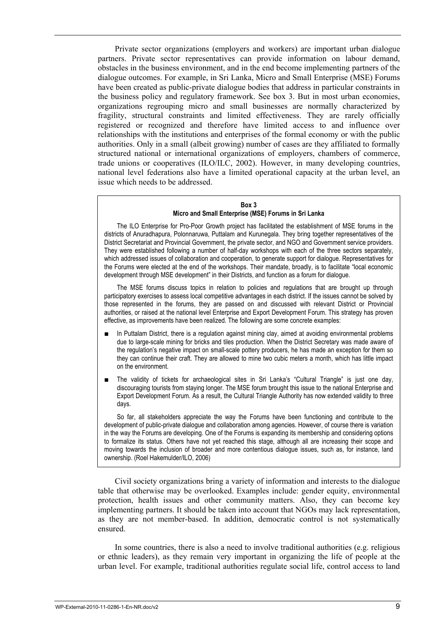Private sector organizations (employers and workers) are important urban dialogue partners. Private sector representatives can provide information on labour demand, obstacles in the business environment, and in the end become implementing partners of the dialogue outcomes. For example, in Sri Lanka, Micro and Small Enterprise (MSE) Forums have been created as public-private dialogue bodies that address in particular constraints in the business policy and regulatory framework. See box 3. But in most urban economies, organizations regrouping micro and small businesses are normally characterized by fragility, structural constraints and limited effectiveness. They are rarely officially registered or recognized and therefore have limited access to and influence over relationships with the institutions and enterprises of the formal economy or with the public authorities. Only in a small (albeit growing) number of cases are they affiliated to formally structured national or international organizations of employers, chambers of commerce, trade unions or cooperatives (ILO/ILC, 2002). However, in many developing countries, national level federations also have a limited operational capacity at the urban level, an issue which needs to be addressed.

#### **Box 3 Micro and Small Enterprise (MSE) Forums in Sri Lanka**

The ILO Enterprise for Pro-Poor Growth project has facilitated the establishment of MSE forums in the districts of Anuradhapura, Polonnaruwa, Puttalam and Kurunegala. They bring together representatives of the District Secretariat and Provincial Government, the private sector, and NGO and Government service providers. They were established following a number of half-day workshops with each of the three sectors separately, which addressed issues of collaboration and cooperation, to generate support for dialogue. Representatives for the Forums were elected at the end of the workshops. Their mandate, broadly, is to facilitate "local economic development through MSE development" in their Districts, and function as a forum for dialogue.

The MSE forums discuss topics in relation to policies and regulations that are brought up through participatory exercises to assess local competitive advantages in each district. If the issues cannot be solved by those represented in the forums, they are passed on and discussed with relevant District or Provincial authorities, or raised at the national level Enterprise and Export Development Forum. This strategy has proven effective, as improvements have been realized. The following are some concrete examples:

- In Puttalam District, there is a regulation against mining clay, aimed at avoiding environmental problems due to large-scale mining for bricks and tiles production. When the District Secretary was made aware of the regulation's negative impact on small-scale pottery producers, he has made an exception for them so they can continue their craft. They are allowed to mine two cubic meters a month, which has little impact on the environment.
- The validity of tickets for archaeological sites in Sri Lanka's "Cultural Triangle" is just one day, discouraging tourists from staying longer. The MSE forum brought this issue to the national Enterprise and Export Development Forum. As a result, the Cultural Triangle Authority has now extended validity to three days.

So far, all stakeholders appreciate the way the Forums have been functioning and contribute to the development of public-private dialogue and collaboration among agencies. However, of course there is variation in the way the Forums are developing. One of the Forums is expanding its membership and considering options to formalize its status. Others have not yet reached this stage, although all are increasing their scope and moving towards the inclusion of broader and more contentious dialogue issues, such as, for instance, land ownership. (Roel Hakemulder/ILO, 2006)

Civil society organizations bring a variety of information and interests to the dialogue table that otherwise may be overlooked. Examples include: gender equity, environmental protection, health issues and other community matters. Also, they can become key implementing partners. It should be taken into account that NGOs may lack representation, as they are not member-based. In addition, democratic control is not systematically ensured.

In some countries, there is also a need to involve traditional authorities (e.g. religious or ethnic leaders), as they remain very important in organizing the life of people at the urban level. For example, traditional authorities regulate social life, control access to land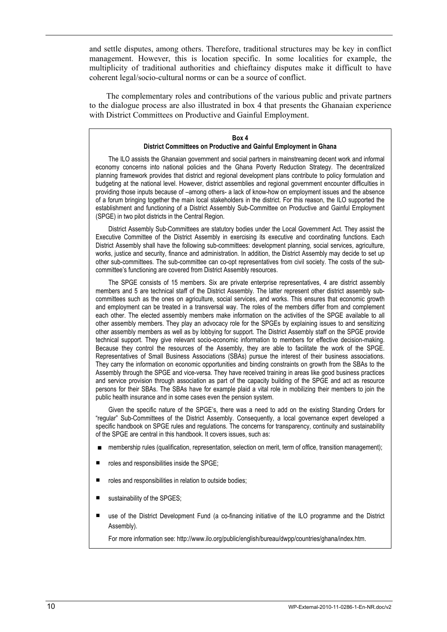and settle disputes, among others. Therefore, traditional structures may be key in conflict management. However, this is location specific. In some localities for example, the multiplicity of traditional authorities and chieftaincy disputes make it difficult to have coherent legal/socio-cultural norms or can be a source of conflict.

The complementary roles and contributions of the various public and private partners to the dialogue process are also illustrated in box 4 that presents the Ghanaian experience with District Committees on Productive and Gainful Employment.

#### **Box 4 District Committees on Productive and Gainful Employment in Ghana**

The ILO assists the Ghanaian government and social partners in mainstreaming decent work and informal economy concerns into national policies and the Ghana Poverty Reduction Strategy. The decentralized planning framework provides that district and regional development plans contribute to policy formulation and budgeting at the national level. However, district assemblies and regional government encounter difficulties in providing those inputs because of –among others- a lack of know-how on employment issues and the absence of a forum bringing together the main local stakeholders in the district. For this reason, the ILO supported the establishment and functioning of a District Assembly Sub-Committee on Productive and Gainful Employment (SPGE) in two pilot districts in the Central Region.

District Assembly Sub-Committees are statutory bodies under the Local Government Act. They assist the Executive Committee of the District Assembly in exercising its executive and coordinating functions. Each District Assembly shall have the following sub-committees: development planning, social services, agriculture, works, justice and security, finance and administration. In addition, the District Assembly may decide to set up other sub-committees. The sub-committee can co-opt representatives from civil society. The costs of the subcommittee's functioning are covered from District Assembly resources.

The SPGE consists of 15 members. Six are private enterprise representatives, 4 are district assembly members and 5 are technical staff of the District Assembly. The latter represent other district assembly subcommittees such as the ones on agriculture, social services, and works. This ensures that economic growth and employment can be treated in a transversal way. The roles of the members differ from and complement each other. The elected assembly members make information on the activities of the SPGE available to all other assembly members. They play an advocacy role for the SPGEs by explaining issues to and sensitizing other assembly members as well as by lobbying for support. The District Assembly staff on the SPGE provide technical support. They give relevant socio-economic information to members for effective decision-making. Because they control the resources of the Assembly, they are able to facilitate the work of the SPGE. Representatives of Small Business Associations (SBAs) pursue the interest of their business associations. They carry the information on economic opportunities and binding constraints on growth from the SBAs to the Assembly through the SPGE and vice-versa. They have received training in areas like good business practices and service provision through association as part of the capacity building of the SPGE and act as resource persons for their SBAs. The SBAs have for example plaid a vital role in mobilizing their members to join the public health insurance and in some cases even the pension system.

Given the specific nature of the SPGE's, there was a need to add on the existing Standing Orders for "regular" Sub-Committees of the District Assembly. Consequently, a local governance expert developed a specific handbook on SPGE rules and regulations. The concerns for transparency, continuity and sustainability of the SPGE are central in this handbook. It covers issues, such as:

- membership rules (qualification, representation, selection on merit, term of office, transition management);
- roles and responsibilities inside the SPGE;
- roles and responsibilities in relation to outside bodies;
- sustainability of the SPGES;
- use of the District Development Fund (a co-financing initiative of the ILO programme and the District Assembly).

For more information see: http://www.ilo.org/public/english/bureau/dwpp/countries/ghana/index.htm.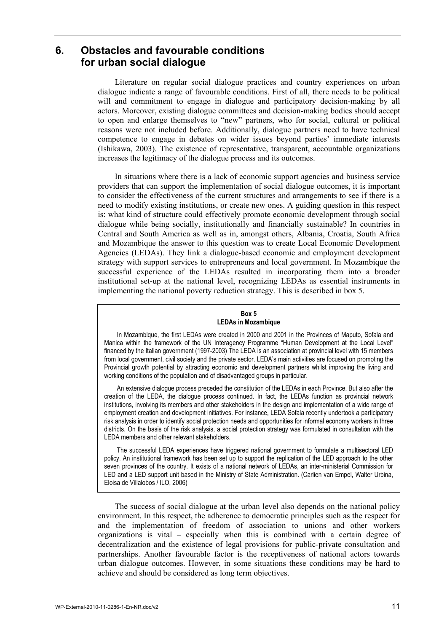### **6. Obstacles and favourable conditions for urban social dialogue**

Literature on regular social dialogue practices and country experiences on urban dialogue indicate a range of favourable conditions. First of all, there needs to be political will and commitment to engage in dialogue and participatory decision-making by all actors. Moreover, existing dialogue committees and decision-making bodies should accept to open and enlarge themselves to "new" partners, who for social, cultural or political reasons were not included before. Additionally, dialogue partners need to have technical competence to engage in debates on wider issues beyond parties' immediate interests (Ishikawa, 2003). The existence of representative, transparent, accountable organizations increases the legitimacy of the dialogue process and its outcomes.

In situations where there is a lack of economic support agencies and business service providers that can support the implementation of social dialogue outcomes, it is important to consider the effectiveness of the current structures and arrangements to see if there is a need to modify existing institutions, or create new ones. A guiding question in this respect is: what kind of structure could effectively promote economic development through social dialogue while being socially, institutionally and financially sustainable? In countries in Central and South America as well as in, amongst others, Albania, Croatia, South Africa and Mozambique the answer to this question was to create Local Economic Development Agencies (LEDAs). They link a dialogue-based economic and employment development strategy with support services to entrepreneurs and local government. In Mozambique the successful experience of the LEDAs resulted in incorporating them into a broader institutional set-up at the national level, recognizing LEDAs as essential instruments in implementing the national poverty reduction strategy. This is described in box 5.

#### **Box 5 LEDAs in Mozambique**

In Mozambique, the first LEDAs were created in 2000 and 2001 in the Provinces of Maputo, Sofala and Manica within the framework of the UN Interagency Programme "Human Development at the Local Level" financed by the Italian government (1997-2003) The LEDA is an association at provincial level with 15 members from local government, civil society and the private sector. LEDA's main activities are focused on promoting the Provincial growth potential by attracting economic and development partners whilst improving the living and working conditions of the population and of disadvantaged groups in particular.

An extensive dialogue process preceded the constitution of the LEDAs in each Province. But also after the creation of the LEDA, the dialogue process continued. In fact, the LEDAs function as provincial network institutions, involving its members and other stakeholders in the design and implementation of a wide range of employment creation and development initiatives. For instance, LEDA Sofala recently undertook a participatory risk analysis in order to identify social protection needs and opportunities for informal economy workers in three districts. On the basis of the risk analysis, a social protection strategy was formulated in consultation with the LEDA members and other relevant stakeholders.

The successful LEDA experiences have triggered national government to formulate a multisectoral LED policy. An institutional framework has been set up to support the replication of the LED approach to the other seven provinces of the country. It exists of a national network of LEDAs, an inter-ministerial Commission for LED and a LED support unit based in the Ministry of State Administration. (Carlien van Empel, Walter Urbina, Eloisa de Villalobos / ILO, 2006)

The success of social dialogue at the urban level also depends on the national policy environment. In this respect, the adherence to democratic principles such as the respect for and the implementation of freedom of association to unions and other workers organizations is vital – especially when this is combined with a certain degree of decentralization and the existence of legal provisions for public-private consultation and partnerships. Another favourable factor is the receptiveness of national actors towards urban dialogue outcomes. However, in some situations these conditions may be hard to achieve and should be considered as long term objectives.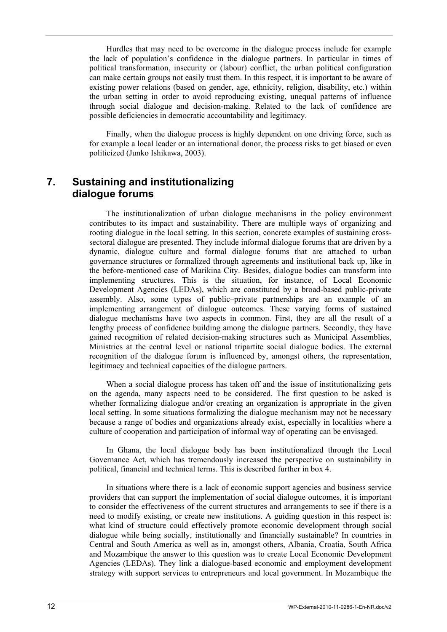Hurdles that may need to be overcome in the dialogue process include for example the lack of population's confidence in the dialogue partners. In particular in times of political transformation, insecurity or (labour) conflict, the urban political configuration can make certain groups not easily trust them. In this respect, it is important to be aware of existing power relations (based on gender, age, ethnicity, religion, disability, etc.) within the urban setting in order to avoid reproducing existing, unequal patterns of influence through social dialogue and decision-making. Related to the lack of confidence are possible deficiencies in democratic accountability and legitimacy.

Finally, when the dialogue process is highly dependent on one driving force, such as for example a local leader or an international donor, the process risks to get biased or even politicized (Junko Ishikawa, 2003).

### **7. Sustaining and institutionalizing dialogue forums**

The institutionalization of urban dialogue mechanisms in the policy environment contributes to its impact and sustainability. There are multiple ways of organizing and rooting dialogue in the local setting. In this section, concrete examples of sustaining crosssectoral dialogue are presented. They include informal dialogue forums that are driven by a dynamic, dialogue culture and formal dialogue forums that are attached to urban governance structures or formalized through agreements and institutional back up, like in the before-mentioned case of Marikina City. Besides, dialogue bodies can transform into implementing structures. This is the situation, for instance, of Local Economic Development Agencies (LEDAs), which are constituted by a broad-based public-private assembly. Also, some types of public–private partnerships are an example of an implementing arrangement of dialogue outcomes. These varying forms of sustained dialogue mechanisms have two aspects in common. First, they are all the result of a lengthy process of confidence building among the dialogue partners. Secondly, they have gained recognition of related decision-making structures such as Municipal Assemblies, Ministries at the central level or national tripartite social dialogue bodies. The external recognition of the dialogue forum is influenced by, amongst others, the representation, legitimacy and technical capacities of the dialogue partners.

When a social dialogue process has taken off and the issue of institutionalizing gets on the agenda, many aspects need to be considered. The first question to be asked is whether formalizing dialogue and/or creating an organization is appropriate in the given local setting. In some situations formalizing the dialogue mechanism may not be necessary because a range of bodies and organizations already exist, especially in localities where a culture of cooperation and participation of informal way of operating can be envisaged.

In Ghana, the local dialogue body has been institutionalized through the Local Governance Act, which has tremendously increased the perspective on sustainability in political, financial and technical terms. This is described further in box 4.

In situations where there is a lack of economic support agencies and business service providers that can support the implementation of social dialogue outcomes, it is important to consider the effectiveness of the current structures and arrangements to see if there is a need to modify existing, or create new institutions. A guiding question in this respect is: what kind of structure could effectively promote economic development through social dialogue while being socially, institutionally and financially sustainable? In countries in Central and South America as well as in, amongst others, Albania, Croatia, South Africa and Mozambique the answer to this question was to create Local Economic Development Agencies (LEDAs). They link a dialogue-based economic and employment development strategy with support services to entrepreneurs and local government. In Mozambique the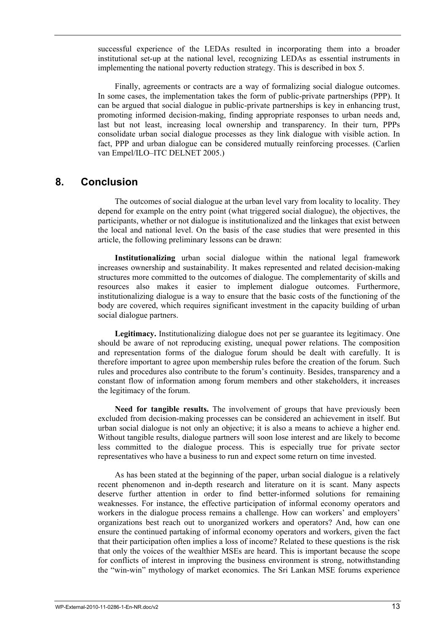successful experience of the LEDAs resulted in incorporating them into a broader institutional set-up at the national level, recognizing LEDAs as essential instruments in implementing the national poverty reduction strategy. This is described in box 5.

Finally, agreements or contracts are a way of formalizing social dialogue outcomes. In some cases, the implementation takes the form of public-private partnerships (PPP). It can be argued that social dialogue in public-private partnerships is key in enhancing trust, promoting informed decision-making, finding appropriate responses to urban needs and, last but not least, increasing local ownership and transparency. In their turn, PPPs consolidate urban social dialogue processes as they link dialogue with visible action. In fact, PPP and urban dialogue can be considered mutually reinforcing processes. (Carlien van Empel/ILO–ITC DELNET 2005.)

### **8. Conclusion**

The outcomes of social dialogue at the urban level vary from locality to locality. They depend for example on the entry point (what triggered social dialogue), the objectives, the participants, whether or not dialogue is institutionalized and the linkages that exist between the local and national level. On the basis of the case studies that were presented in this article, the following preliminary lessons can be drawn:

**Institutionalizing** urban social dialogue within the national legal framework increases ownership and sustainability. It makes represented and related decision-making structures more committed to the outcomes of dialogue. The complementarity of skills and resources also makes it easier to implement dialogue outcomes. Furthermore, institutionalizing dialogue is a way to ensure that the basic costs of the functioning of the body are covered, which requires significant investment in the capacity building of urban social dialogue partners.

**Legitimacy.** Institutionalizing dialogue does not per se guarantee its legitimacy. One should be aware of not reproducing existing, unequal power relations. The composition and representation forms of the dialogue forum should be dealt with carefully. It is therefore important to agree upon membership rules before the creation of the forum. Such rules and procedures also contribute to the forum's continuity. Besides, transparency and a constant flow of information among forum members and other stakeholders, it increases the legitimacy of the forum.

**Need for tangible results.** The involvement of groups that have previously been excluded from decision-making processes can be considered an achievement in itself. But urban social dialogue is not only an objective; it is also a means to achieve a higher end. Without tangible results, dialogue partners will soon lose interest and are likely to become less committed to the dialogue process. This is especially true for private sector representatives who have a business to run and expect some return on time invested.

As has been stated at the beginning of the paper, urban social dialogue is a relatively recent phenomenon and in-depth research and literature on it is scant. Many aspects deserve further attention in order to find better-informed solutions for remaining weaknesses. For instance, the effective participation of informal economy operators and workers in the dialogue process remains a challenge. How can workers' and employers' organizations best reach out to unorganized workers and operators? And, how can one ensure the continued partaking of informal economy operators and workers, given the fact that their participation often implies a loss of income? Related to these questions is the risk that only the voices of the wealthier MSEs are heard. This is important because the scope for conflicts of interest in improving the business environment is strong, notwithstanding the "win-win" mythology of market economics. The Sri Lankan MSE forums experience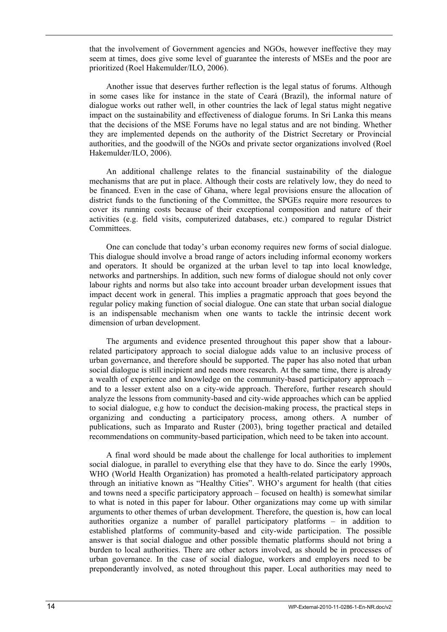that the involvement of Government agencies and NGOs, however ineffective they may seem at times, does give some level of guarantee the interests of MSEs and the poor are prioritized (Roel Hakemulder/ILO, 2006).

Another issue that deserves further reflection is the legal status of forums. Although in some cases like for instance in the state of Ceará (Brazil), the informal nature of dialogue works out rather well, in other countries the lack of legal status might negative impact on the sustainability and effectiveness of dialogue forums. In Sri Lanka this means that the decisions of the MSE Forums have no legal status and are not binding. Whether they are implemented depends on the authority of the District Secretary or Provincial authorities, and the goodwill of the NGOs and private sector organizations involved (Roel Hakemulder/ILO, 2006).

An additional challenge relates to the financial sustainability of the dialogue mechanisms that are put in place. Although their costs are relatively low, they do need to be financed. Even in the case of Ghana, where legal provisions ensure the allocation of district funds to the functioning of the Committee, the SPGEs require more resources to cover its running costs because of their exceptional composition and nature of their activities (e.g. field visits, computerized databases, etc.) compared to regular District **Committees** 

One can conclude that today's urban economy requires new forms of social dialogue. This dialogue should involve a broad range of actors including informal economy workers and operators. It should be organized at the urban level to tap into local knowledge, networks and partnerships. In addition, such new forms of dialogue should not only cover labour rights and norms but also take into account broader urban development issues that impact decent work in general. This implies a pragmatic approach that goes beyond the regular policy making function of social dialogue. One can state that urban social dialogue is an indispensable mechanism when one wants to tackle the intrinsic decent work dimension of urban development.

The arguments and evidence presented throughout this paper show that a labourrelated participatory approach to social dialogue adds value to an inclusive process of urban governance, and therefore should be supported. The paper has also noted that urban social dialogue is still incipient and needs more research. At the same time, there is already a wealth of experience and knowledge on the community-based participatory approach – and to a lesser extent also on a city-wide approach. Therefore, further research should analyze the lessons from community-based and city-wide approaches which can be applied to social dialogue, e.g how to conduct the decision-making process, the practical steps in organizing and conducting a participatory process, among others. A number of publications, such as Imparato and Ruster (2003), bring together practical and detailed recommendations on community-based participation, which need to be taken into account.

A final word should be made about the challenge for local authorities to implement social dialogue, in parallel to everything else that they have to do. Since the early 1990s, WHO (World Health Organization) has promoted a health-related participatory approach through an initiative known as "Healthy Cities". WHO's argument for health (that cities and towns need a specific participatory approach – focused on health) is somewhat similar to what is noted in this paper for labour. Other organizations may come up with similar arguments to other themes of urban development. Therefore, the question is, how can local authorities organize a number of parallel participatory platforms – in addition to established platforms of community-based and city-wide participation. The possible answer is that social dialogue and other possible thematic platforms should not bring a burden to local authorities. There are other actors involved, as should be in processes of urban governance. In the case of social dialogue, workers and employers need to be preponderantly involved, as noted throughout this paper. Local authorities may need to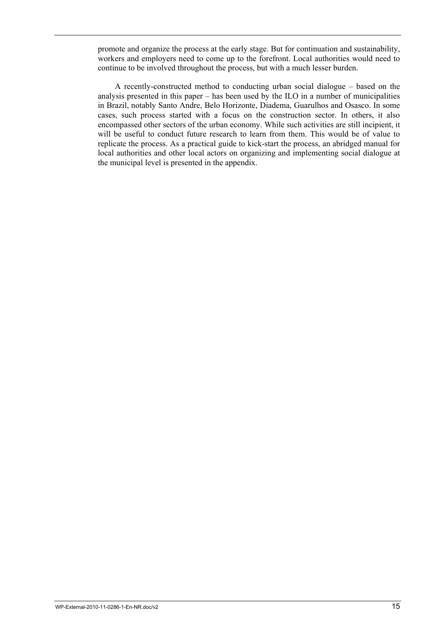promote and organize the process at the early stage. But for continuation and sustainability, workers and employers need to come up to the forefront. Local authorities would need to continue to be involved throughout the process, but with a much lesser burden.

A recently-constructed method to conducting urban social dialogue – based on the analysis presented in this paper – has been used by the ILO in a number of municipalities in Brazil, notably Santo Andre, Belo Horizonte, Diadema, Guarulhos and Osasco. In some cases, such process started with a focus on the construction sector. In others, it also encompassed other sectors of the urban economy. While such activities are still incipient, it will be useful to conduct future research to learn from them. This would be of value to replicate the process. As a practical guide to kick-start the process, an abridged manual for local authorities and other local actors on organizing and implementing social dialogue at the municipal level is presented in the appendix.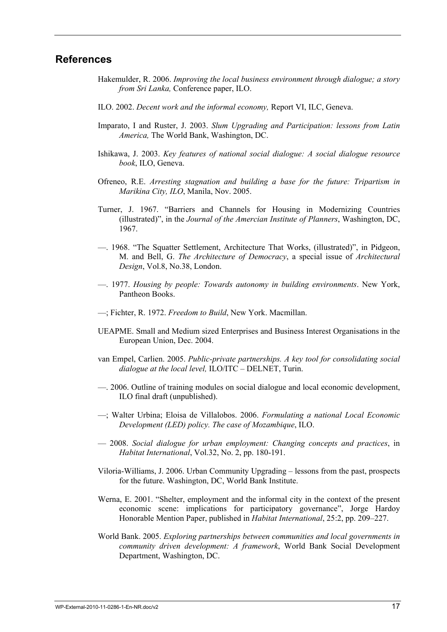### **References**

- Hakemulder, R. 2006. *Improving the local business environment through dialogue; a story from Sri Lanka,* Conference paper, ILO.
- ILO. 2002. *Decent work and the informal economy,* Report VI, ILC, Geneva.
- Imparato, I and Ruster, J. 2003. *Slum Upgrading and Participation: lessons from Latin America,* The World Bank, Washington, DC.
- Ishikawa, J. 2003. *Key features of national social dialogue: A social dialogue resource book*, ILO, Geneva.
- Ofreneo, R.E. *Arresting stagnation and building a base for the future: Tripartism in Marikina City, ILO*, Manila, Nov. 2005.
- Turner, J. 1967. "Barriers and Channels for Housing in Modernizing Countries (illustrated)", in the *Journal of the Amercian Institute of Planners*, Washington, DC, 1967.
- —. 1968. "The Squatter Settlement, Architecture That Works, (illustrated)", in Pidgeon, M. and Bell, G. *The Architecture of Democracy*, a special issue of *Architectural Design*, Vol.8, No.38, London.
- —. 1977. *Housing by people: Towards autonomy in building environments*. New York, Pantheon Books.
- —; Fichter, R. 1972. *Freedom to Build*, New York. Macmillan.
- UEAPME. Small and Medium sized Enterprises and Business Interest Organisations in the European Union, Dec. 2004.
- van Empel, Carlien. 2005. *Public-private partnerships. A key tool for consolidating social dialogue at the local level,* ILO/ITC – DELNET, Turin.
- —. 2006. Outline of training modules on social dialogue and local economic development, ILO final draft (unpublished).
- —; Walter Urbina; Eloisa de Villalobos. 2006. *Formulating a national Local Economic Development (LED) policy. The case of Mozambique*, ILO.
- 2008. *Social dialogue for urban employment: Changing concepts and practices*, in *Habitat International*, Vol.32, No. 2, pp. 180-191.
- Viloria-Williams, J. 2006. Urban Community Upgrading lessons from the past, prospects for the future. Washington, DC, World Bank Institute.
- Werna, E. 2001. "Shelter, employment and the informal city in the context of the present economic scene: implications for participatory governance", Jorge Hardoy Honorable Mention Paper, published in *Habitat International*, 25:2, pp. 209–227.
- World Bank. 2005. *Exploring partnerships between communities and local governments in community driven development: A framework*, World Bank Social Development Department, Washington, DC.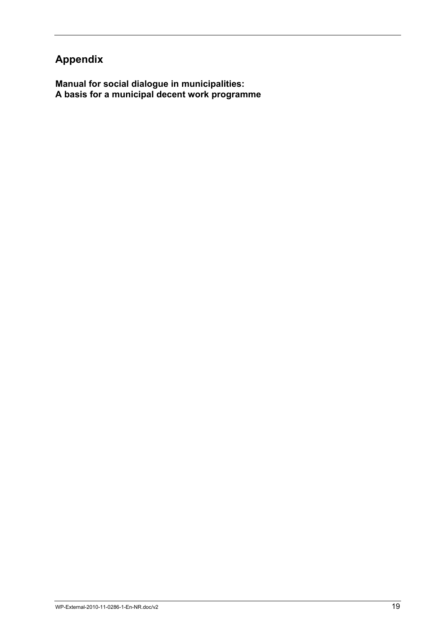# **Appendix**

**Manual for social dialogue in municipalities: A basis for a municipal decent work programme**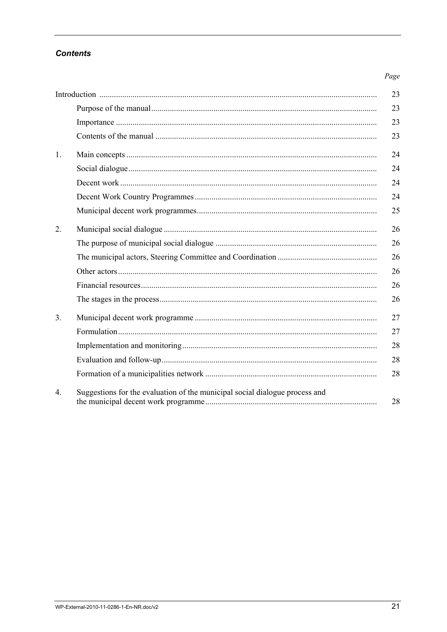### **Contents**

#### Page

|                |                                                                             | 23 |
|----------------|-----------------------------------------------------------------------------|----|
|                |                                                                             | 23 |
|                |                                                                             | 23 |
|                |                                                                             | 23 |
| 1.             |                                                                             | 24 |
|                |                                                                             | 24 |
|                |                                                                             | 24 |
|                |                                                                             | 24 |
|                |                                                                             | 25 |
| $2_{\cdot}$    |                                                                             | 26 |
|                |                                                                             | 26 |
|                |                                                                             | 26 |
|                |                                                                             | 26 |
|                |                                                                             | 26 |
|                |                                                                             | 26 |
| 3 <sub>1</sub> |                                                                             | 27 |
|                |                                                                             | 27 |
|                |                                                                             | 28 |
|                |                                                                             | 28 |
|                |                                                                             | 28 |
| 4.             | Suggestions for the evaluation of the municipal social dialogue process and | 28 |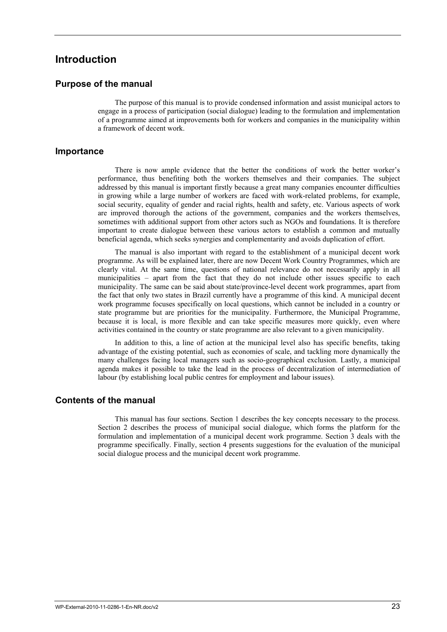### **Introduction**

#### **Purpose of the manual**

The purpose of this manual is to provide condensed information and assist municipal actors to engage in a process of participation (social dialogue) leading to the formulation and implementation of a programme aimed at improvements both for workers and companies in the municipality within a framework of decent work.

#### **Importance**

There is now ample evidence that the better the conditions of work the better worker's performance, thus benefiting both the workers themselves and their companies. The subject addressed by this manual is important firstly because a great many companies encounter difficulties in growing while a large number of workers are faced with work-related problems, for example, social security, equality of gender and racial rights, health and safety, etc. Various aspects of work are improved thorough the actions of the government, companies and the workers themselves, sometimes with additional support from other actors such as NGOs and foundations. It is therefore important to create dialogue between these various actors to establish a common and mutually beneficial agenda, which seeks synergies and complementarity and avoids duplication of effort.

The manual is also important with regard to the establishment of a municipal decent work programme. As will be explained later, there are now Decent Work Country Programmes, which are clearly vital. At the same time, questions of national relevance do not necessarily apply in all municipalities – apart from the fact that they do not include other issues specific to each municipality. The same can be said about state/province-level decent work programmes, apart from the fact that only two states in Brazil currently have a programme of this kind. A municipal decent work programme focuses specifically on local questions, which cannot be included in a country or state programme but are priorities for the municipality. Furthermore, the Municipal Programme, because it is local, is more flexible and can take specific measures more quickly, even where activities contained in the country or state programme are also relevant to a given municipality.

In addition to this, a line of action at the municipal level also has specific benefits, taking advantage of the existing potential, such as economies of scale, and tackling more dynamically the many challenges facing local managers such as socio-geographical exclusion. Lastly, a municipal agenda makes it possible to take the lead in the process of decentralization of intermediation of labour (by establishing local public centres for employment and labour issues).

#### **Contents of the manual**

This manual has four sections. Section 1 describes the key concepts necessary to the process. Section 2 describes the process of municipal social dialogue, which forms the platform for the formulation and implementation of a municipal decent work programme. Section 3 deals with the programme specifically. Finally, section 4 presents suggestions for the evaluation of the municipal social dialogue process and the municipal decent work programme.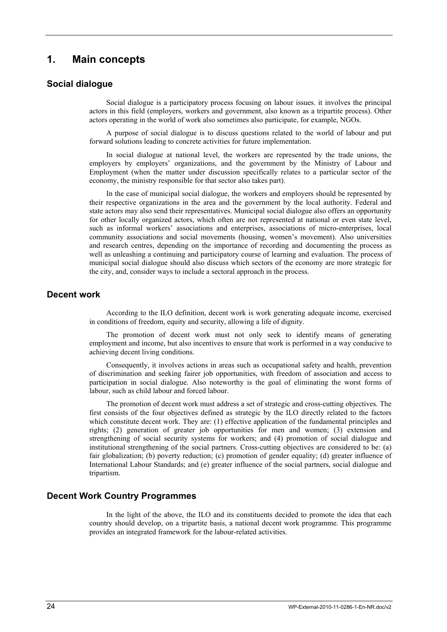## **1. Main concepts**

#### **Social dialogue**

Social dialogue is a participatory process focusing on labour issues. it involves the principal actors in this field (employers, workers and government, also known as a tripartite process). Other actors operating in the world of work also sometimes also participate, for example, NGOs.

A purpose of social dialogue is to discuss questions related to the world of labour and put forward solutions leading to concrete activities for future implementation.

In social dialogue at national level, the workers are represented by the trade unions, the employers by employers' organizations, and the government by the Ministry of Labour and Employment (when the matter under discussion specifically relates to a particular sector of the economy, the ministry responsible for that sector also takes part).

In the case of municipal social dialogue, the workers and employers should be represented by their respective organizations in the area and the government by the local authority. Federal and state actors may also send their representatives. Municipal social dialogue also offers an opportunity for other locally organized actors, which often are not represented at national or even state level, such as informal workers' associations and enterprises, associations of micro-enterprises, local community associations and social movements (housing, women's movement). Also universities and research centres, depending on the importance of recording and documenting the process as well as unleashing a continuing and participatory course of learning and evaluation. The process of municipal social dialogue should also discuss which sectors of the economy are more strategic for the city, and, consider ways to include a sectoral approach in the process.

### **Decent work**

According to the ILO definition, decent work is work generating adequate income, exercised in conditions of freedom, equity and security, allowing a life of dignity.

The promotion of decent work must not only seek to identify means of generating employment and income, but also incentives to ensure that work is performed in a way conducive to achieving decent living conditions.

Consequently, it involves actions in areas such as occupational safety and health, prevention of discrimination and seeking fairer job opportunities, with freedom of association and access to participation in social dialogue. Also noteworthy is the goal of eliminating the worst forms of labour, such as child labour and forced labour.

The promotion of decent work must address a set of strategic and cross-cutting objectives. The first consists of the four objectives defined as strategic by the ILO directly related to the factors which constitute decent work. They are: (1) effective application of the fundamental principles and rights; (2) generation of greater job opportunities for men and women; (3) extension and strengthening of social security systems for workers; and (4) promotion of social dialogue and institutional strengthening of the social partners. Cross-cutting objectives are considered to be: (a) fair globalization; (b) poverty reduction; (c) promotion of gender equality; (d) greater influence of International Labour Standards; and (e) greater influence of the social partners, social dialogue and tripartism.

### **Decent Work Country Programmes**

In the light of the above, the ILO and its constituents decided to promote the idea that each country should develop, on a tripartite basis, a national decent work programme. This programme provides an integrated framework for the labour-related activities.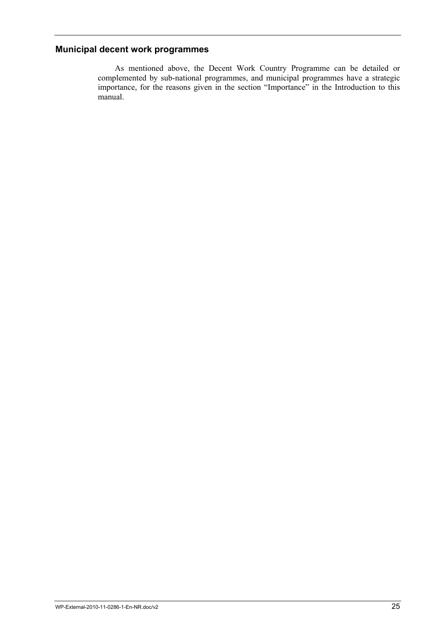### **Municipal decent work programmes**

As mentioned above, the Decent Work Country Programme can be detailed or complemented by sub-national programmes, and municipal programmes have a strategic importance, for the reasons given in the section "Importance" in the Introduction to this manual.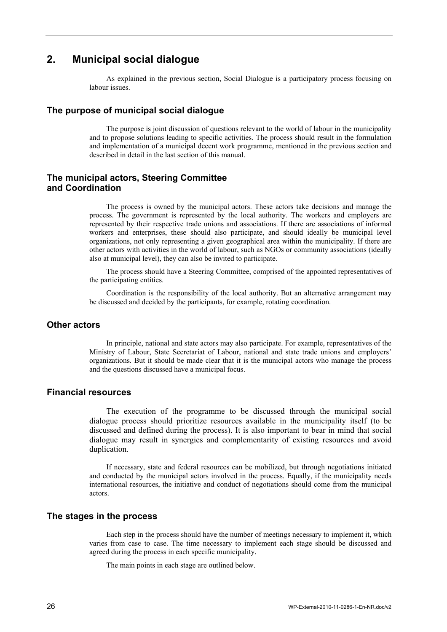## **2. Municipal social dialogue**

As explained in the previous section, Social Dialogue is a participatory process focusing on labour issues.

#### **The purpose of municipal social dialogue**

The purpose is joint discussion of questions relevant to the world of labour in the municipality and to propose solutions leading to specific activities. The process should result in the formulation and implementation of a municipal decent work programme, mentioned in the previous section and described in detail in the last section of this manual.

### **The municipal actors, Steering Committee and Coordination**

The process is owned by the municipal actors. These actors take decisions and manage the process. The government is represented by the local authority. The workers and employers are represented by their respective trade unions and associations. If there are associations of informal workers and enterprises, these should also participate, and should ideally be municipal level organizations, not only representing a given geographical area within the municipality. If there are other actors with activities in the world of labour, such as NGOs or community associations (ideally also at municipal level), they can also be invited to participate.

The process should have a Steering Committee, comprised of the appointed representatives of the participating entities.

Coordination is the responsibility of the local authority. But an alternative arrangement may be discussed and decided by the participants, for example, rotating coordination.

### **Other actors**

In principle, national and state actors may also participate. For example, representatives of the Ministry of Labour, State Secretariat of Labour, national and state trade unions and employers' organizations. But it should be made clear that it is the municipal actors who manage the process and the questions discussed have a municipal focus.

#### **Financial resources**

The execution of the programme to be discussed through the municipal social dialogue process should prioritize resources available in the municipality itself (to be discussed and defined during the process). It is also important to bear in mind that social dialogue may result in synergies and complementarity of existing resources and avoid duplication.

If necessary, state and federal resources can be mobilized, but through negotiations initiated and conducted by the municipal actors involved in the process. Equally, if the municipality needs international resources, the initiative and conduct of negotiations should come from the municipal actors.

#### **The stages in the process**

Each step in the process should have the number of meetings necessary to implement it, which varies from case to case. The time necessary to implement each stage should be discussed and agreed during the process in each specific municipality.

The main points in each stage are outlined below.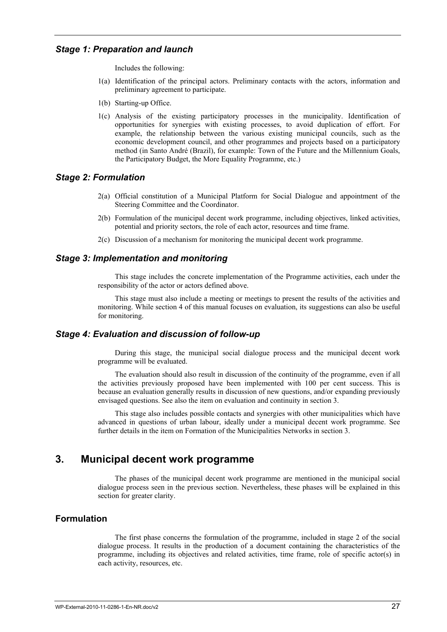#### *Stage 1: Preparation and launch*

Includes the following:

- 1(a) Identification of the principal actors. Preliminary contacts with the actors, information and preliminary agreement to participate.
- 1(b) Starting-up Office.
- 1(c) Analysis of the existing participatory processes in the municipality. Identification of opportunities for synergies with existing processes, to avoid duplication of effort. For example, the relationship between the various existing municipal councils, such as the economic development council, and other programmes and projects based on a participatory method (in Santo André (Brazil), for example: Town of the Future and the Millennium Goals, the Participatory Budget, the More Equality Programme, etc.)

#### *Stage 2: Formulation*

- 2(a) Official constitution of a Municipal Platform for Social Dialogue and appointment of the Steering Committee and the Coordinator.
- 2(b) Formulation of the municipal decent work programme, including objectives, linked activities, potential and priority sectors, the role of each actor, resources and time frame.
- 2(c) Discussion of a mechanism for monitoring the municipal decent work programme.

#### *Stage 3: Implementation and monitoring*

This stage includes the concrete implementation of the Programme activities, each under the responsibility of the actor or actors defined above.

This stage must also include a meeting or meetings to present the results of the activities and monitoring. While section 4 of this manual focuses on evaluation, its suggestions can also be useful for monitoring.

### *Stage 4: Evaluation and discussion of follow-up*

During this stage, the municipal social dialogue process and the municipal decent work programme will be evaluated.

The evaluation should also result in discussion of the continuity of the programme, even if all the activities previously proposed have been implemented with 100 per cent success. This is because an evaluation generally results in discussion of new questions, and/or expanding previously envisaged questions. See also the item on evaluation and continuity in section 3.

This stage also includes possible contacts and synergies with other municipalities which have advanced in questions of urban labour, ideally under a municipal decent work programme. See further details in the item on Formation of the Municipalities Networks in section 3.

### **3. Municipal decent work programme**

The phases of the municipal decent work programme are mentioned in the municipal social dialogue process seen in the previous section. Nevertheless, these phases will be explained in this section for greater clarity.

### **Formulation**

The first phase concerns the formulation of the programme, included in stage 2 of the social dialogue process. It results in the production of a document containing the characteristics of the programme, including its objectives and related activities, time frame, role of specific actor(s) in each activity, resources, etc.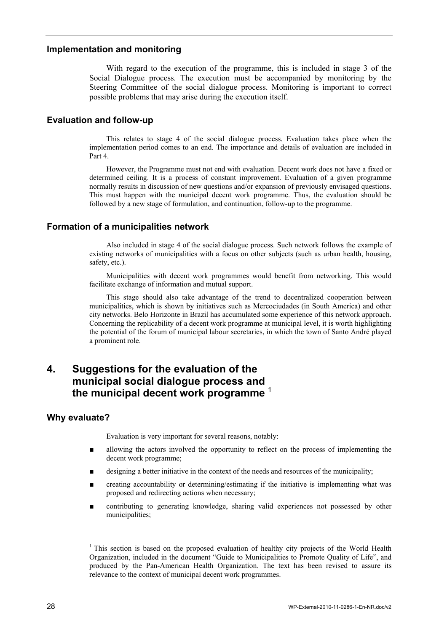#### **Implementation and monitoring**

With regard to the execution of the programme, this is included in stage 3 of the Social Dialogue process. The execution must be accompanied by monitoring by the Steering Committee of the social dialogue process. Monitoring is important to correct possible problems that may arise during the execution itself.

#### **Evaluation and follow-up**

This relates to stage 4 of the social dialogue process. Evaluation takes place when the implementation period comes to an end. The importance and details of evaluation are included in Part 4.

However, the Programme must not end with evaluation. Decent work does not have a fixed or determined ceiling. It is a process of constant improvement. Evaluation of a given programme normally results in discussion of new questions and/or expansion of previously envisaged questions. This must happen with the municipal decent work programme. Thus, the evaluation should be followed by a new stage of formulation, and continuation, follow-up to the programme.

### **Formation of a municipalities network**

Also included in stage 4 of the social dialogue process. Such network follows the example of existing networks of municipalities with a focus on other subjects (such as urban health, housing, safety, etc.).

Municipalities with decent work programmes would benefit from networking. This would facilitate exchange of information and mutual support.

This stage should also take advantage of the trend to decentralized cooperation between municipalities, which is shown by initiatives such as Mercociudades (in South America) and other city networks. Belo Horizonte in Brazil has accumulated some experience of this network approach. Concerning the replicability of a decent work programme at municipal level, it is worth highlighting the potential of the forum of municipal labour secretaries, in which the town of Santo André played a prominent role.

## **4. Suggestions for the evaluation of the municipal social dialogue process and the municipal decent work programme** <sup>1</sup>

### **Why evaluate?**

Evaluation is very important for several reasons, notably:

- allowing the actors involved the opportunity to reflect on the process of implementing the decent work programme;
- designing a better initiative in the context of the needs and resources of the municipality;
- creating accountability or determining/estimating if the initiative is implementing what was proposed and redirecting actions when necessary;
- contributing to generating knowledge, sharing valid experiences not possessed by other municipalities;

<sup>1</sup> This section is based on the proposed evaluation of healthy city projects of the World Health Organization, included in the document "Guide to Municipalities to Promote Quality of Life", and produced by the Pan-American Health Organization. The text has been revised to assure its relevance to the context of municipal decent work programmes.